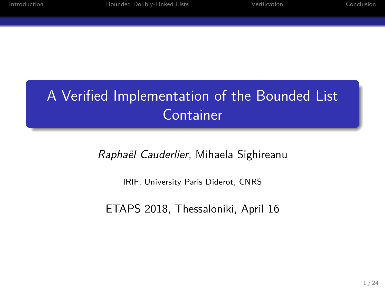### A Verified Implementation of the Bounded List Container

**Iounded Doubly-Linked Lists** 

*Raphaël Cauderlier*, Mihaela Sighireanu

IRIF, University Paris Diderot, CNRS

ETAPS 2018, Thessaloniki, April 16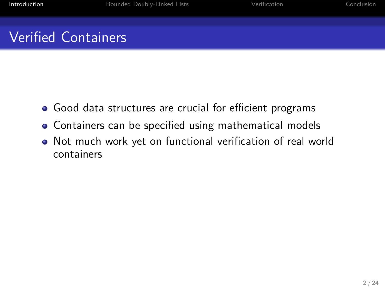## Verified Containers

Introduction Bounded Doubly-Linked Lists

- Good data structures are crucial for efficient programs
- Containers can be specified using mathematical models
- Not much work yet on functional verification of real world containers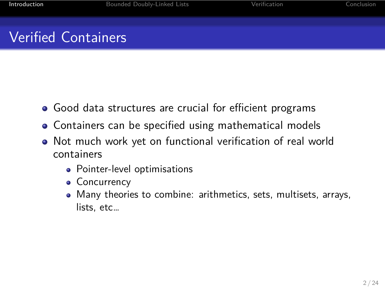### Verified Containers

**Introduction Bounded Doubly-Linked Lists** 

- Good data structures are crucial for efficient programs
- Containers can be specified using mathematical models
- Not much work yet on functional verification of real world containers
	- Pointer-level optimisations
	- Concurrency
	- Many theories to combine: arithmetics, sets, multisets, arrays, lists, etc…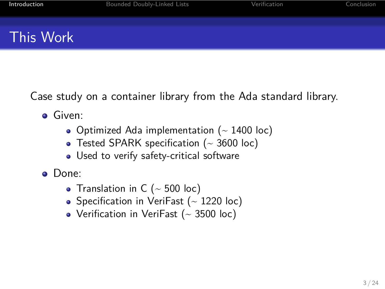### This Work

Case study on a container library from the Ada standard library.

**Introduction** and Bounded Doubly-Linked Lists and Verification Conclusion Conclusion

- **o** Given:
	- Optimized Ada implementation  $($  1400 loc)
	- Tested SPARK specification  $($   $\sim$  3600 loc)
	- Used to verify safety-critical software
- Done:
	- Translation in C  $($  ~ 500 loc)
	- Specification in VeriFast  $($   $\sim$  1220 loc)
	- Verification in VeriFast  $($   $\sim$  3500 loc)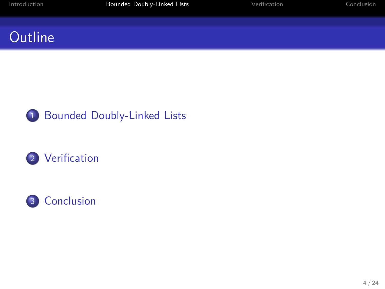# **Outline**



2 Verification



Bounded Doubly-Linked Lists **Intervention** Verification Conclusion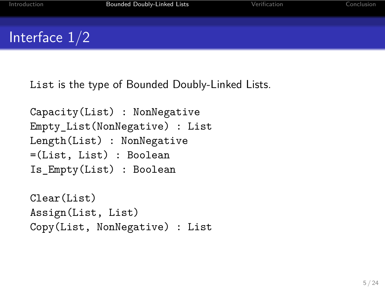## Interface 1/2

List is the type of Bounded Doubly-Linked Lists.

Bounded Doubly-Linked Lists

Capacity(List) : NonNegative Empty\_List(NonNegative) : List Length(List) : NonNegative =(List, List) : Boolean Is\_Empty(List) : Boolean Clear(List) Assign(List, List)

Copy(List, NonNegative) : List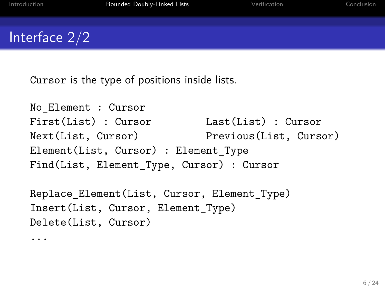### Interface 2/2

Cursor is the type of positions inside lists.

```
No_Element : Cursor
First(List) : Cursor Last(List) : Cursor
Next(List, Cursor) Previous(List, Cursor)
Element(List, Cursor) : Element_Type
Find(List, Element_Type, Cursor) : Cursor
Replace_Element(List, Cursor, Element_Type)
Insert(List, Cursor, Element_Type)
Delete(List, Cursor)
...
```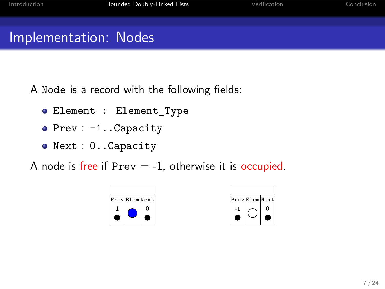### Implementation: Nodes

A Node is a record with the following fields:

Bounded Doubly-Linked Lists

- Element : Element\_Type
- Prev : -1..Capacity
- Next : 0..Capacity

A node is free if  $Prev = -1$ , otherwise it is occupied.



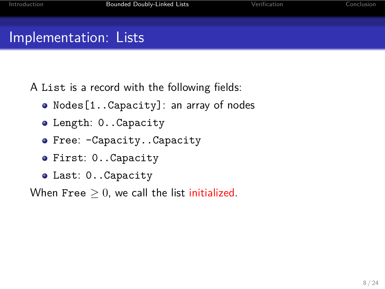A List is a record with the following fields:

Nodes[1..Capacity]: an array of nodes

Bounded Doubly-Linked Lists

- Length: 0..Capacity
- Free: -Capacity..Capacity
- First: 0..Capacity
- Last: 0..Capacity

When Free  $\geq 0$ , we call the list *initialized*.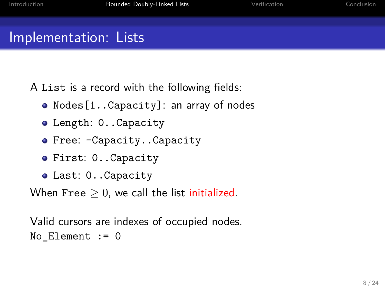A List is a record with the following fields:

Nodes[1..Capacity]: an array of nodes

Bounded Doubly-Linked Lists

- Length: 0..Capacity
- Free: -Capacity..Capacity
- First: 0..Capacity
- Last: 0..Capacity

When Free  $\geq 0$ , we call the list initialized.

Valid cursors are indexes of occupied nodes. No\_Element := 0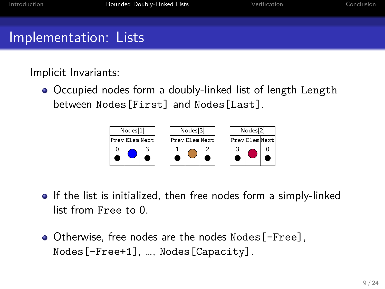Implicit Invariants:

Occupied nodes form a doubly-linked list of length Length between Nodes[First] and Nodes[Last].



- $\bullet$  If the list is initialized, then free nodes form a simply-linked list from Free to 0.
- Otherwise, free nodes are the nodes Nodes[-Free], Nodes[-Free+1], …, Nodes[Capacity].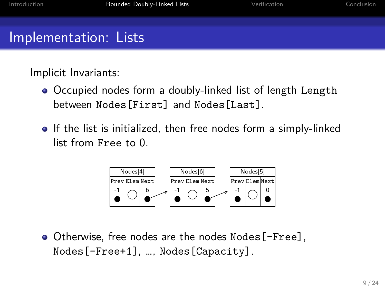Implicit Invariants:

Occupied nodes form a doubly-linked list of length Length between Nodes[First] and Nodes[Last].

Bounded Doubly-Linked Lists

• If the list is initialized, then free nodes form a simply-linked list from Free to 0.



Otherwise, free nodes are the nodes Nodes[-Free], Nodes[-Free+1], …, Nodes[Capacity].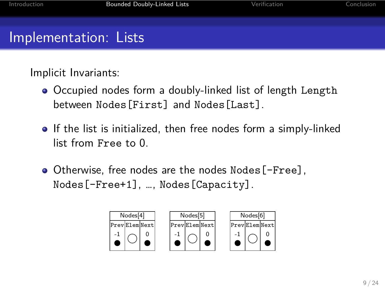Implicit Invariants:

Occupied nodes form a doubly-linked list of length Length between Nodes[First] and Nodes[Last].

- If the list is initialized, then free nodes form a simply-linked list from Free to 0.
- Otherwise, free nodes are the nodes Nodes[-Free], Nodes[-Free+1], …, Nodes[Capacity].

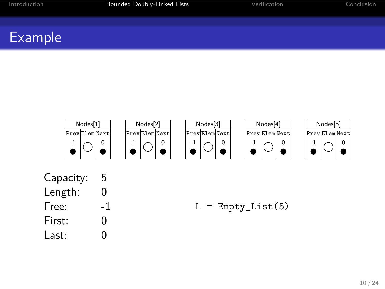

Capacity: 5 Length: 0 Free: -1 First: 0 Last: 0

Introduction **Bounded Doubly-Linked Lists** 

 $L = Empty\_List(5)$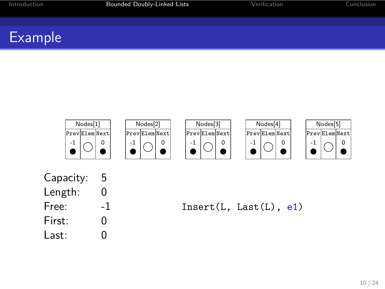

Bounded Doubly-Linked Lists

Capacity: 5 Length: 0 Free: -1 First: 0 Last: 0

Insert(L, Last(L), e1)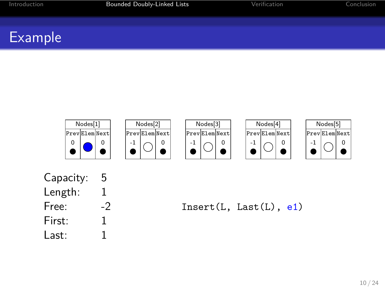

Bounded Doubly-Linked Lists

Capacity: 5 Length: 1 Free: -2 First: 1 Last: 1

Insert(L, Last(L), e1)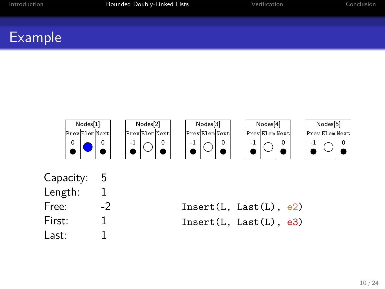

| Capacity: | 5  |
|-----------|----|
| Length:   | 1  |
| Free:     | -2 |
| First:    | 1  |
| Last:     | 1  |
|           |    |

| Insert(L, Last(L), e2) |  |
|------------------------|--|
| Insert(L, Last(L), e3) |  |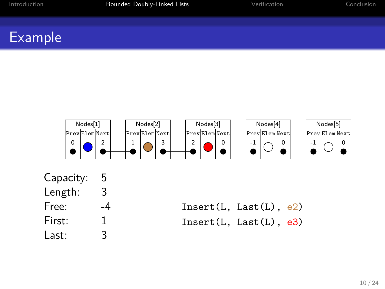

| 5  |
|----|
| 3  |
| -4 |
| 1  |
| 3  |
|    |

| Insert(L, Last(L), e2) |  |
|------------------------|--|
| Insert(L, Last(L), e3) |  |
|                        |  |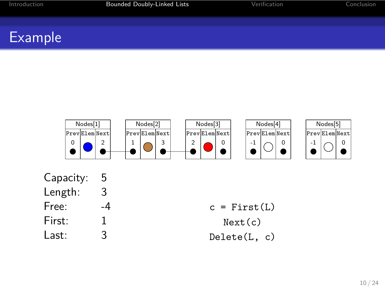

Bounded Doubly-Linked Lists

| Capacity: | 5  |
|-----------|----|
| Length:   | 3  |
| Free:     | -4 |
| First:    | 1  |
| l ast:    | Κ  |
|           |    |

 $c = First(L)$ Next(c) Delete(L, c)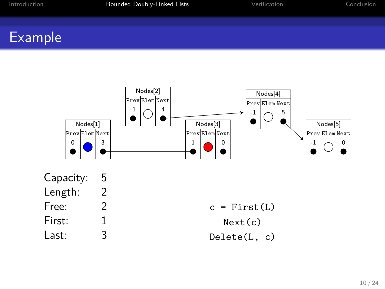# Introduction **Bounded Doubly-Linked Lists** Example

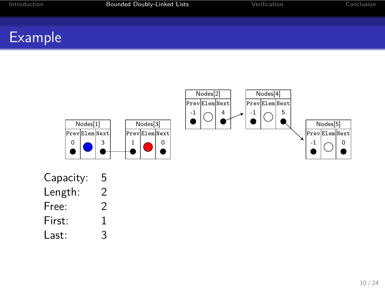

| Capacity: | 5 |
|-----------|---|
| Length:   | 2 |
| Free:     | 2 |
| First:    | 1 |
| Last:     | 3 |
|           |   |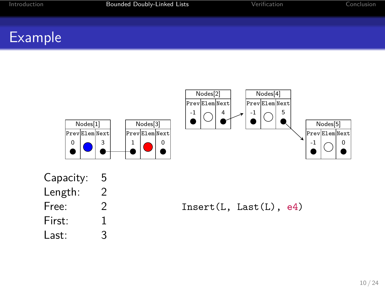

Bounded Doubly-Linked Lists



Capacity: 5<br>Length: 2

Length: Free: 2 First: 1 Last: 3

Insert(L, Last(L), e4)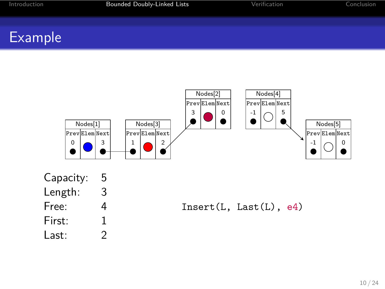

Capacity: 5

Introduction **Bounded Doubly-Linked Lists** 

| Length: | 3 |
|---------|---|
| Free:   | 4 |
| First:  | 1 |
| Last:   | 2 |

Insert(L, Last(L), e4)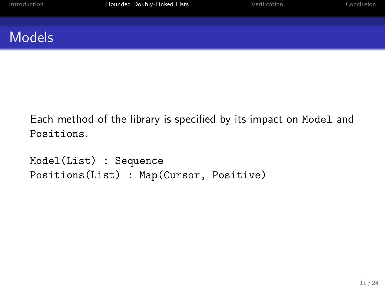## Models

Each method of the library is specified by its impact on Model and Positions.

```
Model(List) : Sequence
Positions(List) : Map(Cursor, Positive)
```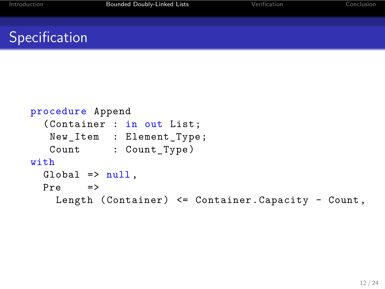## Specification

```
procedure Append
  (Container : in out List;
  New_Item : Element_Type;
  Count : Count_Type)
with
 Global \Rightarrow null,Pre =>
   Length (Container) <= Container.Capacity - Count ,
```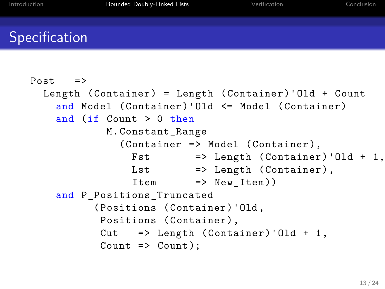#### Specification

```
Post =>
 Length (Container) = Length (Container)'Old + Count
    and Model (Container)'Old <= Model (Container)
    and (if Count > 0 then
           M.Constant_Range
              (Container => Model (Container),
               Fst \Rightarrow Length (Container)'Old + 1,
               Lst => Length (Container),
               Item => New_Item))
    and P_Positions_Truncated
          (Positions (Container)'Old,
          Positions (Container),
          Cut => Length (Container)'Old + 1,
          Count => Count);
```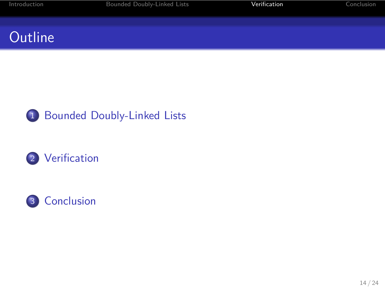# **Outline**



2 Verification



Internal Doubly-Linked Lists **Internal Verification** Conclusion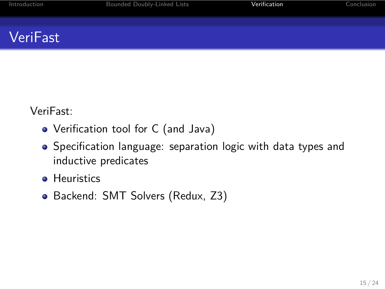## VeriFast

VeriFast:

- Verification tool for C (and Java)
- Specification language: separation logic with data types and inductive predicates

Internation Bounded Doubly-Linked Lists Verification

- **•** Heuristics
- Backend: SMT Solvers (Redux, Z3)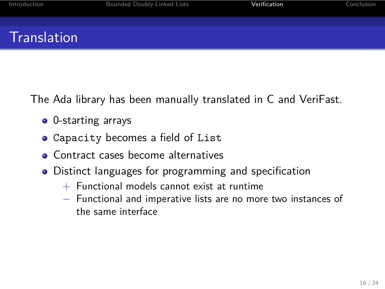### **Translation**

The Ada library has been manually translated in C and VeriFast.

Introduction Bounded Doubly-Linked Lists **Verification** Conclusion

- 0-starting arrays
- Capacity becomes a field of List
- Contract cases become alternatives
- Distinct languages for programming and specification
	- + Functional models cannot exist at runtime
	- *−* Functional and imperative lists are no more two instances of the same interface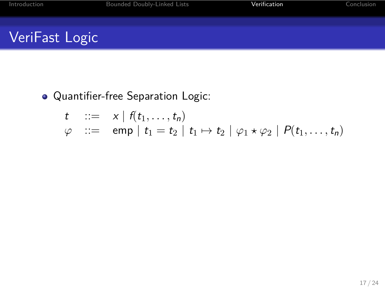Quantifier-free Separation Logic:

$$
\begin{array}{lll}\nt & \cdots = & x \mid f(t_1, \ldots, t_n) \\
\varphi & \cdots = & \text{emp} \mid t_1 = t_2 \mid t_1 \mapsto t_2 \mid \varphi_1 \star \varphi_2 \mid P(t_1, \ldots, t_n)\n\end{array}
$$

Bounded Doubly-Linked Lists **Verification** Conclusion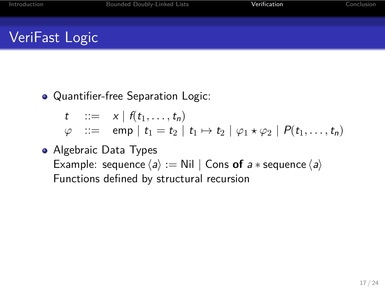Quantifier-free Separation Logic:

$$
\begin{array}{lll}\nt & ::= & x \mid f(t_1, \ldots, t_n) \\
\varphi & ::= & \text{emp} \mid t_1 = t_2 \mid t_1 \mapsto t_2 \mid \varphi_1 \star \varphi_2 \mid P(t_1, \ldots, t_n)\n\end{array}
$$

Internation Bounded Doubly-Linked Lists Verification

Algebraic Data Types Example: sequence  $\langle a \rangle :=$  Nil  $\vert$  Cons of  $a *$  sequence  $\langle a \rangle$ Functions defined by structural recursion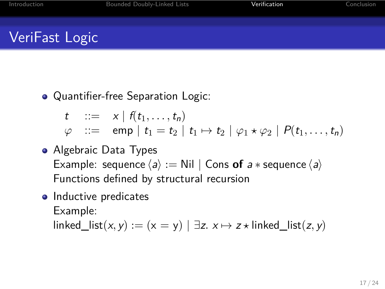Quantifier-free Separation Logic:

 $t$  ::=  $x | f(t_1, ..., t_n)$  $\varphi$  ::= emp  $|t_1 = t_2 | t_1 \mapsto t_2 | \varphi_1 \star \varphi_2 | P(t_1, \ldots, t_n)$ 

Introduction Bounded Doubly-Linked Lists **Verification** Conclusion

- Algebraic Data Types Example: sequence  $\langle a \rangle :=$  Nil  $|$  Cons of  $a *$  sequence  $\langle a \rangle$ Functions defined by structural recursion
- Inductive predicates Example:  $\text{linked\_list}(x, y) := (x = y) | \exists z \cdot x \mapsto z \star \text{linked\_list}(z, y)$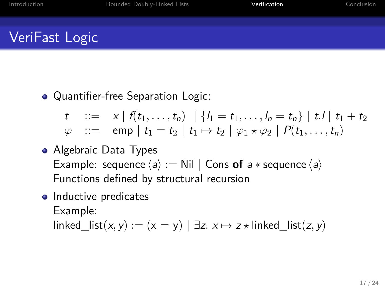Quantifier-free Separation Logic:

 $t$  ::=  $x | f(t_1,...,t_n) | \{l_1 = t_1,...,l_n = t_n\} | t! | t_1 + t_2$  $\varphi$  ::= emp  $|t_1 = t_2 | t_1 \mapsto t_2 | \varphi_1 \star \varphi_2 | P(t_1, \ldots, t_n)$ 

Algebraic Data Types Example: sequence  $\langle a \rangle :=$  Nil  $|$  Cons of  $a *$  sequence  $\langle a \rangle$ Functions defined by structural recursion

Introduction Bounded Doubly-Linked Lists **Verification** Conclusion

• Inductive predicates Example:  $\text{linked\_list}(x, y) := (x = y) | \exists z \cdot x \mapsto z \star \text{linked\_list}(z, y)$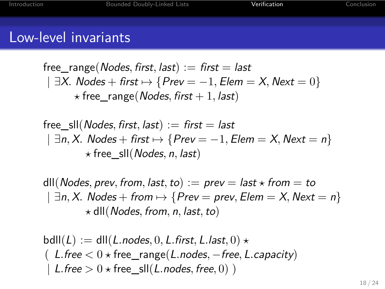#### Low-level invariants

free\_range(*Nodes, first, last*) := *first* = *last | ∃X. Nodes* + *first 7→ {Prev* = *−*1*, Elem* = *X, Next* = 0*} ⋆* free\_range(*Nodes, first* + 1*, last*)

Introduction Bounded Doubly-Linked Lists **Verification** Conclusion

free\_sll(*Nodes, first, last*) := *first* = *last | ∃n, X. Nodes* + *first 7→ {Prev* = *−*1*, Elem* = *X, Next* = *n} ⋆* free\_sll(*Nodes, n, last*)

 $d$ III(*Nodes, prev, from, last, to*) := *prev* = *last*  $\star$  *from* = *to | ∃n, X. Nodes* + *from 7→ {Prev* = *prev, Elem* = *X, Next* = *n} ⋆* dll(*Nodes, from, n, last,to*)

 $\mathsf{bdll}(L) := \mathsf{dll}(L \cdot \mathsf{nodes}, 0, L \cdot \mathsf{first}, L \cdot \mathsf{last}, 0) \star$ ( *L.free <* 0 *⋆* free\_range(*L.nodes, −free, L.capacity*)  $|$  *L.free*  $> 0 \star$  *free\_sll*(*L.nodes, free, 0)* )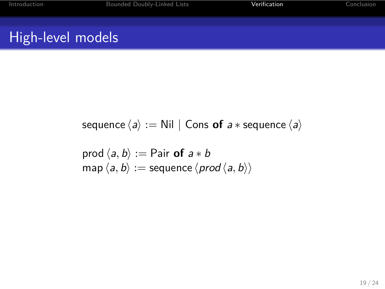# High-level models

sequence  $\langle a \rangle :=$  Nil | Cons of  $a *$  sequence  $\langle a \rangle$ 

Bounded Doubly-Linked Lists Verification

prod  $\langle a, b \rangle :=$  Pair of  $a * b$  $\langle$ *map* $\langle$ *a*, *b* $\rangle$  := sequence  $\langle$ *prod* $\langle$ *a*, *b* $\rangle$  $\rangle$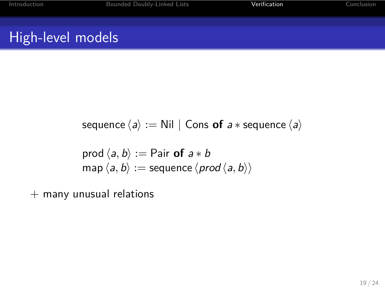# High-level models

sequence  $\langle a \rangle :=$  Nil | Cons of  $a *$  sequence  $\langle a \rangle$ 

Bounded Doubly-Linked Lists Verification

prod  $\langle a, b \rangle :=$  Pair of  $a * b$  $\langle a, b \rangle := \text{sequence} \langle \text{prod} \langle a, b \rangle \rangle$ 

+ many unusual relations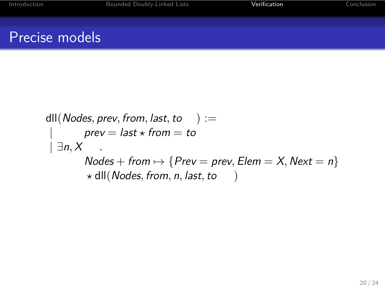$$
dll(Nodes, prev, from, last, to ) :=
$$
\n
$$
| prev = last * from = to
$$
\n
$$
| \exists n, X
$$
\n
$$
Nodes + from \mapsto {Prev = prev, Element = X, Next = n}
$$
\n
$$
dll(Nodes, from, n, last, to )
$$

Internal Bounded Doubly-Linked Lists **Internal Conclust** Verification Conclusion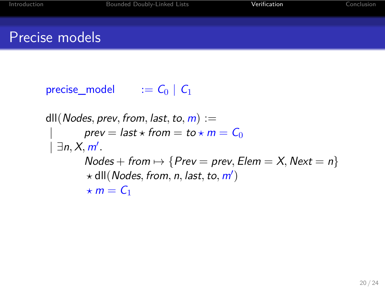

dll(*Nodes*, *prev*, *from*, *last*, *to*,  $m$ ) :=  $prev = last \star from = to \star m = C_0$ *| ∃n, X, m′ .*  $Nodes + from \rightarrow \{Prev = prev, Element = X, Next = n\}$ *⋆* dll(*Nodes, from, n, last,to, m′* )  $\star$  *m* =  $C_1$ 

Introduction Bounded Doubly-Linked Lists **Verification** Conclusion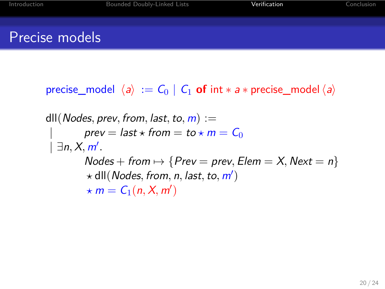precise\_model  $\langle a \rangle := C_0 \mid C_1$  of int  $* a *$  precise\_model  $\langle a \rangle$ 

Internalism Bounded Doubly-Linked Lists Verification

dll(*Nodes*, *prev*, *from*, *last*, *to*,  $m$ ) :=  $prev = last \star from = to \star m = C_0$ *| ∃n, X, m′ .*  $Nodes + from \rightarrow \{Prev = prev, Element = X, Next = n\}$ *⋆* dll(*Nodes, from, n, last,to, m′* )  $\star$  *m* =  $C_1(n, X, m')$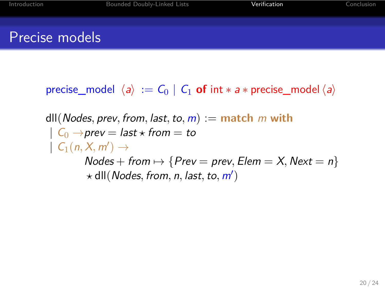precise\_model  $\langle a \rangle := C_0 | C_1$  of int  $* a *$  precise\_model  $\langle a \rangle$ 

Inded Doubly-Linked Lists **Verification** 

dll(*Nodes, prev, from, last,to, m*) := **match** *m* **with**  $| C_0 \rightarrow \text{prev} = \text{last} \star \text{from} = \text{to}$  $| C_1(n, X, m') \rightarrow$  $Nodes + from \rightarrow \{Prev = prev, Element = X, Next = n\}$ *⋆* dll(*Nodes, from, n, last,to, m′* )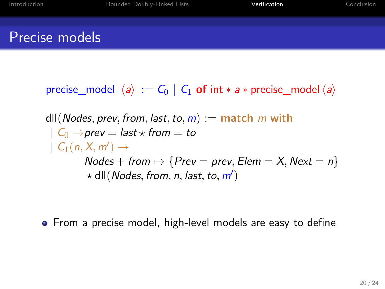precise\_model  $\langle a \rangle := C_0 \mid C_1$  of int  $* a *$  precise\_model  $\langle a \rangle$ 

Introduction Bounded Doubly-Linked Lists **Verification** Conclusion

dll(*Nodes, prev, from, last,to, m*) := **match** *m* **with**  $| C_0 \rightarrow \text{prev} = \text{last} \star \text{from} = \text{to}$  $| C_1(n, X, m') \rightarrow$  $Nodes + from \rightarrow \{Prev = prev, Element = X, Next = n\}$ *⋆* dll(*Nodes, from, n, last,to, m′* )

From a precise model, high-level models are easy to define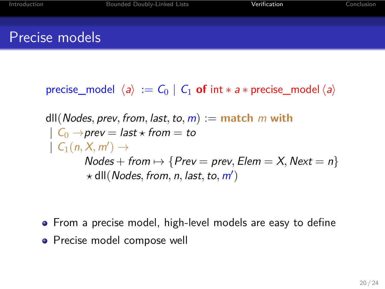precise\_model  $\langle a \rangle := C_0 \mid C_1$  of int  $* a *$  precise\_model  $\langle a \rangle$ 

Introduction Bounded Doubly-Linked Lists **Verification** Conclusion

dll(*Nodes, prev, from, last,to, m*) := **match** *m* **with**  $| C_0 \rightarrow \text{prev} = \text{last} \star \text{from} = \text{to}$  $| C_1(n, X, m') \rightarrow$  $Nodes + from \rightarrow \{Prev = prev, Element = X, Next = n\}$ *⋆* dll(*Nodes, from, n, last,to, m′* )

- From a precise model, high-level models are easy to define
- **•** Precise model compose well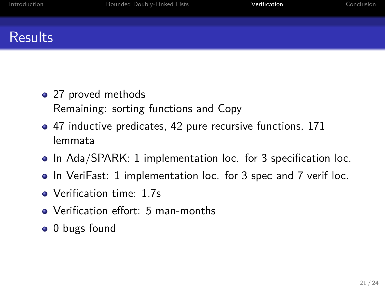### **Results**

- 27 proved methods Remaining: sorting functions and Copy
- 47 inductive predicates, 42 pure recursive functions, 171 lemmata
- In Ada/SPARK: 1 implementation loc. for 3 specification loc.

Introduction Bounded Doubly-Linked Lists **Verification** Conclusion

- In VeriFast: 1 implementation loc. for 3 spec and 7 verif loc.
- Verification time: 1.7s
- Verification effort: 5 man-months
- $\bullet$  0 bugs found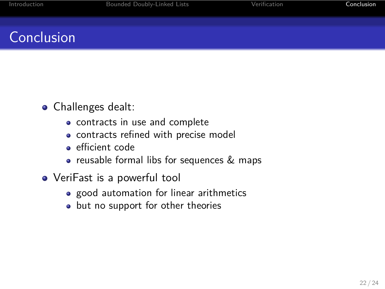## **Conclusion**

- Challenges dealt:
	- contracts in use and complete
	- contracts refined with precise model
	- efficient code
	- reusable formal libs for sequences & maps

Inded Doubly-Linked Lists **Interpretent Conclusion** Verification Conclusion

- VeriFast is a powerful tool
	- good automation for linear arithmetics
	- but no support for other theories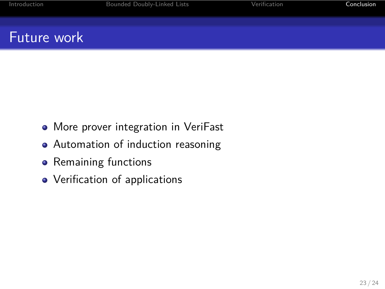# Future work

More prover integration in VeriFast

Internation Bounded Doubly-Linked Lists **Internation** Verification **Conclusion** 

- Automation of induction reasoning
- Remaining functions
- Verification of applications